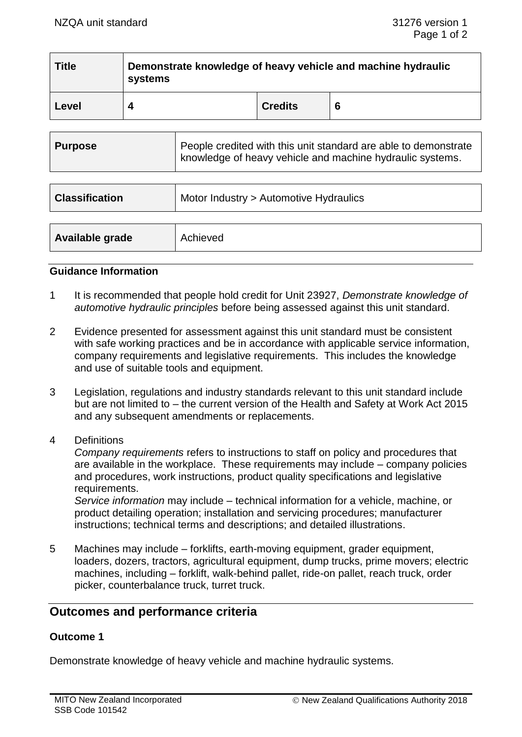| <b>Title</b> | Demonstrate knowledge of heavy vehicle and machine hydraulic<br>systems |                |   |  |  |
|--------------|-------------------------------------------------------------------------|----------------|---|--|--|
| Level        | ◢                                                                       | <b>Credits</b> | 6 |  |  |
|              |                                                                         |                |   |  |  |

| <b>Purpose</b>        | People credited with this unit standard are able to demonstrate<br>knowledge of heavy vehicle and machine hydraulic systems. |  |
|-----------------------|------------------------------------------------------------------------------------------------------------------------------|--|
|                       |                                                                                                                              |  |
| <b>Classification</b> | Motor Industry > Automotive Hydraulics                                                                                       |  |
|                       |                                                                                                                              |  |
| Available grade       | Achieved                                                                                                                     |  |

#### **Guidance Information**

- 1 It is recommended that people hold credit for Unit 23927, *Demonstrate knowledge of automotive hydraulic principles* before being assessed against this unit standard.
- 2 Evidence presented for assessment against this unit standard must be consistent with safe working practices and be in accordance with applicable service information, company requirements and legislative requirements. This includes the knowledge and use of suitable tools and equipment.
- 3 Legislation, regulations and industry standards relevant to this unit standard include but are not limited to – the current version of the Health and Safety at Work Act 2015 and any subsequent amendments or replacements.
- 4 Definitions

*Company requirements* refers to instructions to staff on policy and procedures that are available in the workplace. These requirements may include – company policies and procedures, work instructions, product quality specifications and legislative requirements.

*Service information* may include – technical information for a vehicle, machine, or product detailing operation; installation and servicing procedures; manufacturer instructions; technical terms and descriptions; and detailed illustrations.

5 Machines may include – forklifts, earth-moving equipment, grader equipment, loaders, dozers, tractors, agricultural equipment, dump trucks, prime movers; electric machines, including – forklift, walk-behind pallet, ride-on pallet, reach truck, order picker, counterbalance truck, turret truck.

## **Outcomes and performance criteria**

### **Outcome 1**

Demonstrate knowledge of heavy vehicle and machine hydraulic systems.